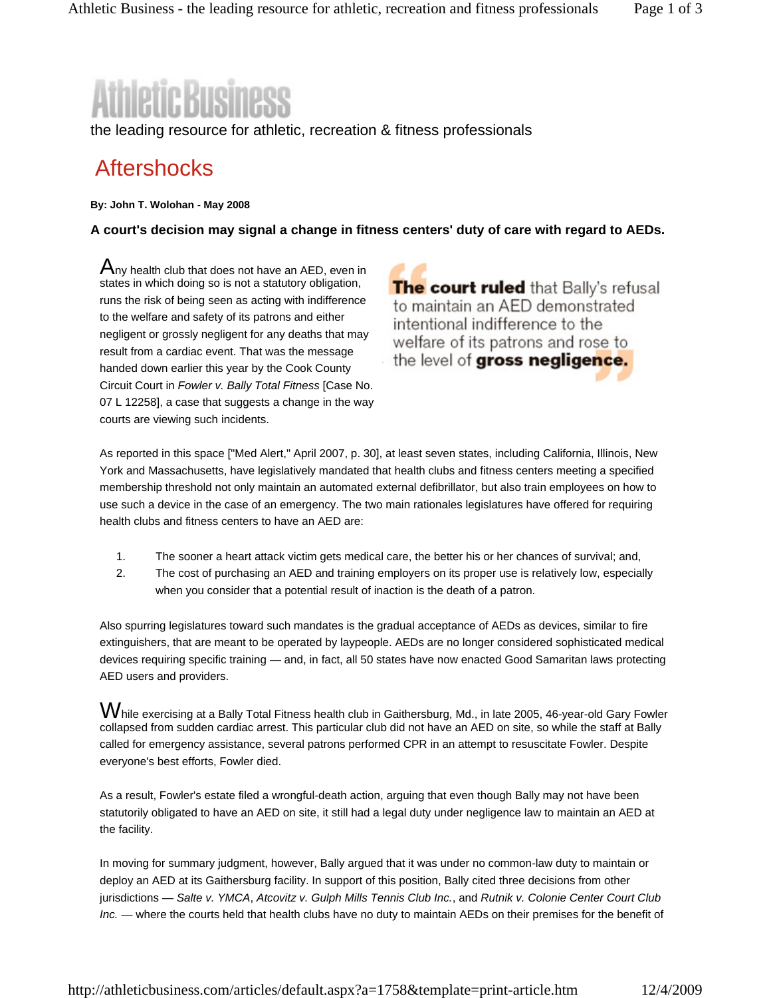## netic Business

the leading resource for athletic, recreation & fitness professionals

## **Aftershocks**

**By: John T. Wolohan - May 2008** 

**A court's decision may signal a change in fitness centers' duty of care with regard to AEDs.**

 ${\mathsf A}$ nv health club that does not have an AED, even in states in which doing so is not a statutory obligation, runs the risk of being seen as acting with indifference to the welfare and safety of its patrons and either negligent or grossly negligent for any deaths that may result from a cardiac event. That was the message handed down earlier this year by the Cook County Circuit Court in *Fowler v. Bally Total Fitness* [Case No. 07 L 12258], a case that suggests a change in the way courts are viewing such incidents.

The court ruled that Bally's refusal to maintain an AED demonstrated intentional indifference to the welfare of its patrons and rose to the level of **gross negligence.** 

As reported in this space ["Med Alert," April 2007, p. 30], at least seven states, including California, Illinois, New York and Massachusetts, have legislatively mandated that health clubs and fitness centers meeting a specified membership threshold not only maintain an automated external defibrillator, but also train employees on how to use such a device in the case of an emergency. The two main rationales legislatures have offered for requiring health clubs and fitness centers to have an AED are:

- 1. The sooner a heart attack victim gets medical care, the better his or her chances of survival; and,
- 2. The cost of purchasing an AED and training employers on its proper use is relatively low, especially when you consider that a potential result of inaction is the death of a patron.

Also spurring legislatures toward such mandates is the gradual acceptance of AEDs as devices, similar to fire extinguishers, that are meant to be operated by laypeople. AEDs are no longer considered sophisticated medical devices requiring specific training — and, in fact, all 50 states have now enacted Good Samaritan laws protecting AED users and providers.

While exercising at a Bally Total Fitness health club in Gaithersburg, Md., in late 2005, 46-year-old Gary Fowler collapsed from sudden cardiac arrest. This particular club did not have an AED on site, so while the staff at Bally called for emergency assistance, several patrons performed CPR in an attempt to resuscitate Fowler. Despite everyone's best efforts, Fowler died.

As a result, Fowler's estate filed a wrongful-death action, arguing that even though Bally may not have been statutorily obligated to have an AED on site, it still had a legal duty under negligence law to maintain an AED at the facility.

In moving for summary judgment, however, Bally argued that it was under no common-law duty to maintain or deploy an AED at its Gaithersburg facility. In support of this position, Bally cited three decisions from other jurisdictions — *Salte v. YMCA*, *Atcovitz v. Gulph Mills Tennis Club Inc.*, and *Rutnik v. Colonie Center Court Club Inc.* — where the courts held that health clubs have no duty to maintain AEDs on their premises for the benefit of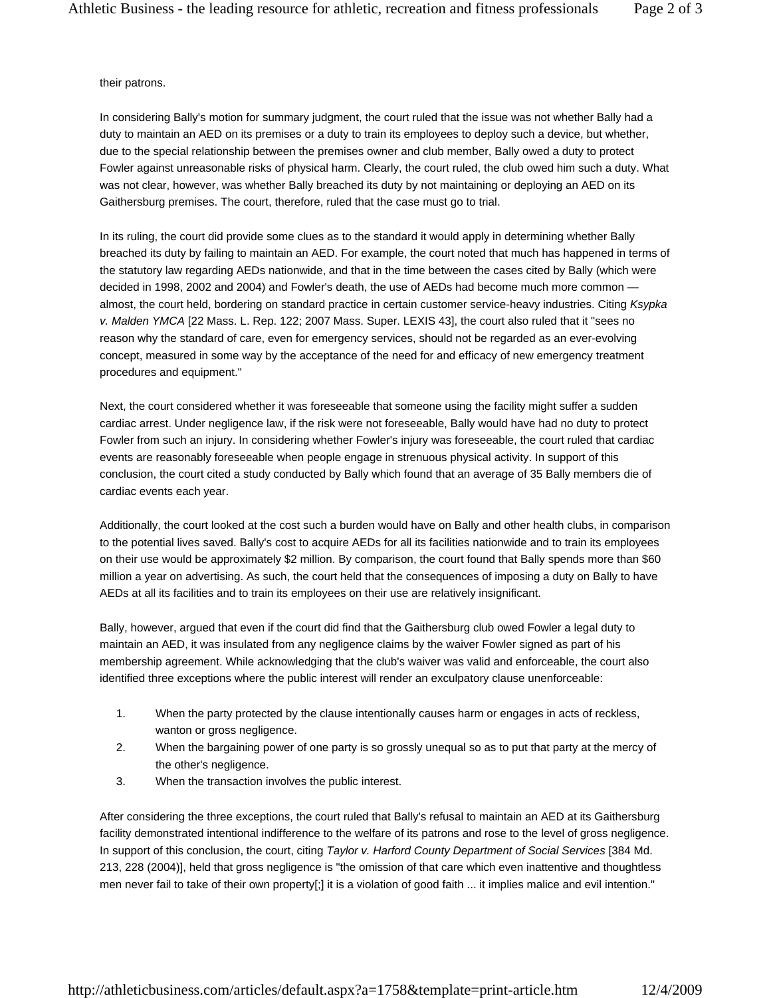## their patrons.

In considering Bally's motion for summary judgment, the court ruled that the issue was not whether Bally had a duty to maintain an AED on its premises or a duty to train its employees to deploy such a device, but whether, due to the special relationship between the premises owner and club member, Bally owed a duty to protect Fowler against unreasonable risks of physical harm. Clearly, the court ruled, the club owed him such a duty. What was not clear, however, was whether Bally breached its duty by not maintaining or deploying an AED on its Gaithersburg premises. The court, therefore, ruled that the case must go to trial.

In its ruling, the court did provide some clues as to the standard it would apply in determining whether Bally breached its duty by failing to maintain an AED. For example, the court noted that much has happened in terms of the statutory law regarding AEDs nationwide, and that in the time between the cases cited by Bally (which were decided in 1998, 2002 and 2004) and Fowler's death, the use of AEDs had become much more common almost, the court held, bordering on standard practice in certain customer service-heavy industries. Citing *Ksypka v. Malden YMCA* [22 Mass. L. Rep. 122; 2007 Mass. Super. LEXIS 43], the court also ruled that it "sees no reason why the standard of care, even for emergency services, should not be regarded as an ever-evolving concept, measured in some way by the acceptance of the need for and efficacy of new emergency treatment procedures and equipment."

Next, the court considered whether it was foreseeable that someone using the facility might suffer a sudden cardiac arrest. Under negligence law, if the risk were not foreseeable, Bally would have had no duty to protect Fowler from such an injury. In considering whether Fowler's injury was foreseeable, the court ruled that cardiac events are reasonably foreseeable when people engage in strenuous physical activity. In support of this conclusion, the court cited a study conducted by Bally which found that an average of 35 Bally members die of cardiac events each year.

Additionally, the court looked at the cost such a burden would have on Bally and other health clubs, in comparison to the potential lives saved. Bally's cost to acquire AEDs for all its facilities nationwide and to train its employees on their use would be approximately \$2 million. By comparison, the court found that Bally spends more than \$60 million a year on advertising. As such, the court held that the consequences of imposing a duty on Bally to have AEDs at all its facilities and to train its employees on their use are relatively insignificant.

Bally, however, argued that even if the court did find that the Gaithersburg club owed Fowler a legal duty to maintain an AED, it was insulated from any negligence claims by the waiver Fowler signed as part of his membership agreement. While acknowledging that the club's waiver was valid and enforceable, the court also identified three exceptions where the public interest will render an exculpatory clause unenforceable:

- 1. When the party protected by the clause intentionally causes harm or engages in acts of reckless, wanton or gross negligence.
- 2. When the bargaining power of one party is so grossly unequal so as to put that party at the mercy of the other's negligence.
- 3. When the transaction involves the public interest.

After considering the three exceptions, the court ruled that Bally's refusal to maintain an AED at its Gaithersburg facility demonstrated intentional indifference to the welfare of its patrons and rose to the level of gross negligence. In support of this conclusion, the court, citing *Taylor v. Harford County Department of Social Services* [384 Md. 213, 228 (2004)], held that gross negligence is "the omission of that care which even inattentive and thoughtless men never fail to take of their own property[;] it is a violation of good faith ... it implies malice and evil intention."